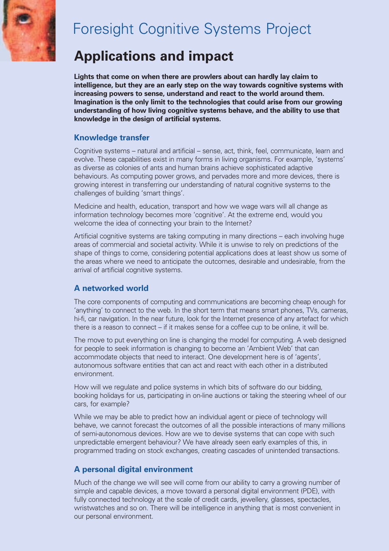

# Foresight Cognitive Systems Project

## **Applications and impact**

**Lights that come on when there are prowlers about can hardly lay claim to intelligence, but they are an early step on the way towards cognitive systems with increasing powers to sense, understand and react to the world around them. Imagination is the only limit to the technologies that could arise from our growing understanding of how living cognitive systems behave, and the ability to use that knowledge in the design of artificial systems.**

## **Knowledge transfer**

Cognitive systems – natural and artificial – sense, act, think, feel, communicate, learn and evolve. These capabilities exist in many forms in living organisms. For example, 'systems' as diverse as colonies of ants and human brains achieve sophisticated adaptive behaviours. As computing power grows, and pervades more and more devices, there is growing interest in transferring our understanding of natural cognitive systems to the challenges of building 'smart things'.

Medicine and health, education, transport and how we wage wars will all change as information technology becomes more 'cognitive'. At the extreme end, would you welcome the idea of connecting your brain to the Internet?

Artificial cognitive systems are taking computing in many directions – each involving huge areas of commercial and societal activity. While it is unwise to rely on predictions of the shape of things to come, considering potential applications does at least show us some of the areas where we need to anticipate the outcomes, desirable and undesirable, from the arrival of artificial cognitive systems.

## **A networked world**

The core components of computing and communications are becoming cheap enough for 'anything' to connect to the web. In the short term that means smart phones, TVs, cameras, hi-fi, car navigation. In the near future, look for the Internet presence of any artefact for which there is a reason to connect – if it makes sense for a coffee cup to be online, it will be.

The move to put everything on line is changing the model for computing. A web designed for people to seek information is changing to become an 'Ambient Web' that can accommodate objects that need to interact. One development here is of 'agents', autonomous software entities that can act and react with each other in a distributed environment.

How will we regulate and police systems in which bits of software do our bidding, booking holidays for us, participating in on-line auctions or taking the steering wheel of our cars, for example?

While we may be able to predict how an individual agent or piece of technology will behave, we cannot forecast the outcomes of all the possible interactions of many millions of semi-autonomous devices. How are we to devise systems that can cope with such unpredictable emergent behaviour? We have already seen early examples of this, in programmed trading on stock exchanges, creating cascades of unintended transactions.

## **A personal digital environment**

Much of the change we will see will come from our ability to carry a growing number of simple and capable devices, a move toward a personal digital environment (PDE), with fully connected technology at the scale of credit cards, jewellery, glasses, spectacles, wristwatches and so on. There will be intelligence in anything that is most convenient in our personal environment.